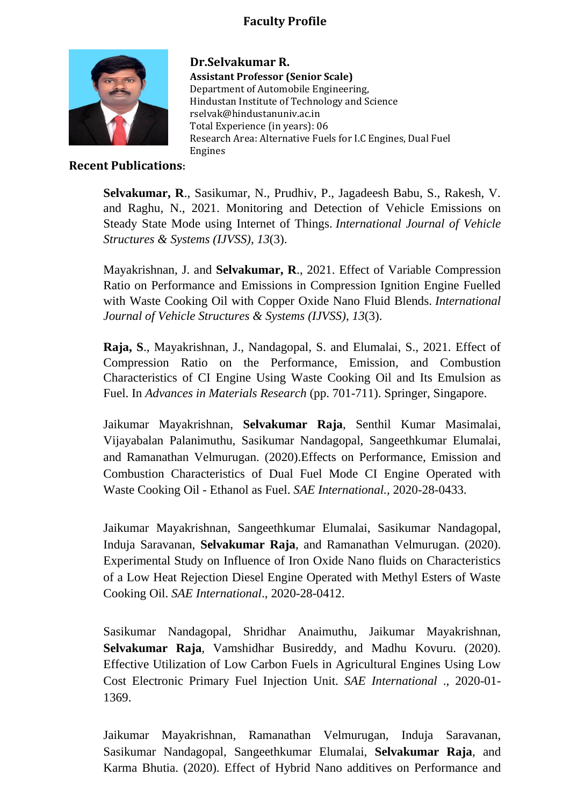## **Faculty Profile**



**Dr.Selvakumar R. Assistant Professor (Senior Scale)** Department of Automobile Engineering, Hindustan Institute of Technology and Science rselvak@hindustanuniv.ac.in Total Experience (in years): 06 Research Area: Alternative Fuels for I.C Engines, Dual Fuel Engines

## **Recent Publications:**

**Selvakumar, R**., Sasikumar, N., Prudhiv, P., Jagadeesh Babu, S., Rakesh, V. and Raghu, N., 2021. Monitoring and Detection of Vehicle Emissions on Steady State Mode using Internet of Things. *International Journal of Vehicle Structures & Systems (IJVSS)*, *13*(3).

Mayakrishnan, J. and **Selvakumar, R**., 2021. Effect of Variable Compression Ratio on Performance and Emissions in Compression Ignition Engine Fuelled with Waste Cooking Oil with Copper Oxide Nano Fluid Blends. *International Journal of Vehicle Structures & Systems (IJVSS)*, *13*(3).

**Raja, S**., Mayakrishnan, J., Nandagopal, S. and Elumalai, S., 2021. Effect of Compression Ratio on the Performance, Emission, and Combustion Characteristics of CI Engine Using Waste Cooking Oil and Its Emulsion as Fuel. In *Advances in Materials Research* (pp. 701-711). Springer, Singapore.

Jaikumar Mayakrishnan, **Selvakumar Raja**, Senthil Kumar Masimalai, Vijayabalan Palanimuthu, Sasikumar Nandagopal, Sangeethkumar Elumalai, and Ramanathan Velmurugan. (2020).Effects on Performance, Emission and Combustion Characteristics of Dual Fuel Mode CI Engine Operated with Waste Cooking Oil - Ethanol as Fuel. *SAE International.,* 2020-28-0433.

Jaikumar Mayakrishnan, Sangeethkumar Elumalai, Sasikumar Nandagopal, Induja Saravanan, **Selvakumar Raja**, and Ramanathan Velmurugan. (2020). Experimental Study on Influence of Iron Oxide Nano fluids on Characteristics of a Low Heat Rejection Diesel Engine Operated with Methyl Esters of Waste Cooking Oil. *SAE International*., 2020-28-0412.

Sasikumar Nandagopal, Shridhar Anaimuthu, Jaikumar Mayakrishnan, **Selvakumar Raja**, Vamshidhar Busireddy, and Madhu Kovuru. (2020). Effective Utilization of Low Carbon Fuels in Agricultural Engines Using Low Cost Electronic Primary Fuel Injection Unit. *SAE International* ., 2020-01- 1369.

Jaikumar Mayakrishnan, Ramanathan Velmurugan, Induja Saravanan, Sasikumar Nandagopal, Sangeethkumar Elumalai, **Selvakumar Raja**, and Karma Bhutia. (2020). Effect of Hybrid Nano additives on Performance and